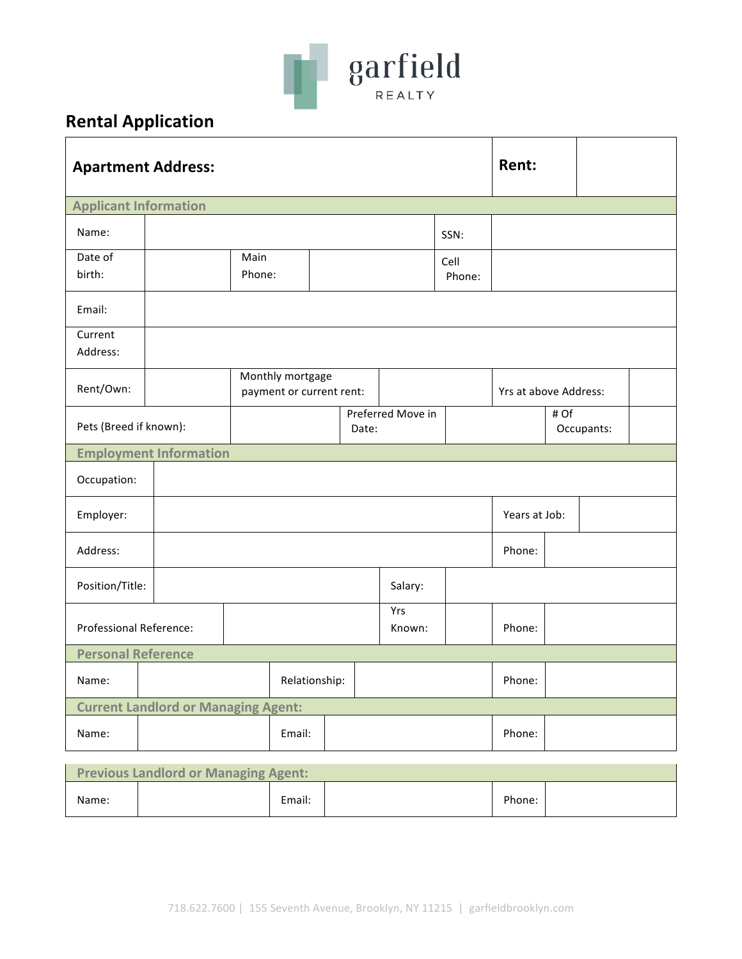

## **Rental Application**

| <b>Apartment Address:</b>                   |                               |                                              |         |  |                   | Rent:          |                       |  |            |  |
|---------------------------------------------|-------------------------------|----------------------------------------------|---------|--|-------------------|----------------|-----------------------|--|------------|--|
| <b>Applicant Information</b>                |                               |                                              |         |  |                   |                |                       |  |            |  |
| Name:                                       | SSN:                          |                                              |         |  |                   |                |                       |  |            |  |
| Date of<br>birth:                           |                               | Main<br>Phone:                               |         |  |                   | Cell<br>Phone: |                       |  |            |  |
| Email:                                      |                               |                                              |         |  |                   |                |                       |  |            |  |
| Current<br>Address:                         |                               |                                              |         |  |                   |                |                       |  |            |  |
| Rent/Own:                                   |                               | Monthly mortgage<br>payment or current rent: |         |  |                   |                | Yrs at above Address: |  |            |  |
| Pets (Breed if known):                      |                               |                                              | Date:   |  | Preferred Move in |                | # Of                  |  | Occupants: |  |
|                                             | <b>Employment Information</b> |                                              |         |  |                   |                |                       |  |            |  |
| Occupation:                                 |                               |                                              |         |  |                   |                |                       |  |            |  |
| Employer:                                   |                               |                                              |         |  |                   | Years at Job:  |                       |  |            |  |
| Address:                                    |                               |                                              |         |  |                   | Phone:         |                       |  |            |  |
| Position/Title:                             |                               |                                              | Salary: |  |                   |                |                       |  |            |  |
| Professional Reference:                     |                               |                                              |         |  | Yrs<br>Known:     |                | Phone:                |  |            |  |
| <b>Personal Reference</b>                   |                               |                                              |         |  |                   |                |                       |  |            |  |
| Name:                                       |                               | Relationship:                                |         |  |                   |                | Phone:                |  |            |  |
| <b>Current Landlord or Managing Agent:</b>  |                               |                                              |         |  |                   |                |                       |  |            |  |
| Name:                                       | Email:                        |                                              |         |  |                   |                | Phone:                |  |            |  |
| <b>Previous Landlord or Managing Agent:</b> |                               |                                              |         |  |                   |                |                       |  |            |  |

| <b>FIGVIOUS LATIQIOI U OF IVIAHARITIK AKCITU.</b> |  |        |  |        |  |  |
|---------------------------------------------------|--|--------|--|--------|--|--|
| Name:                                             |  | Email: |  | Phone: |  |  |